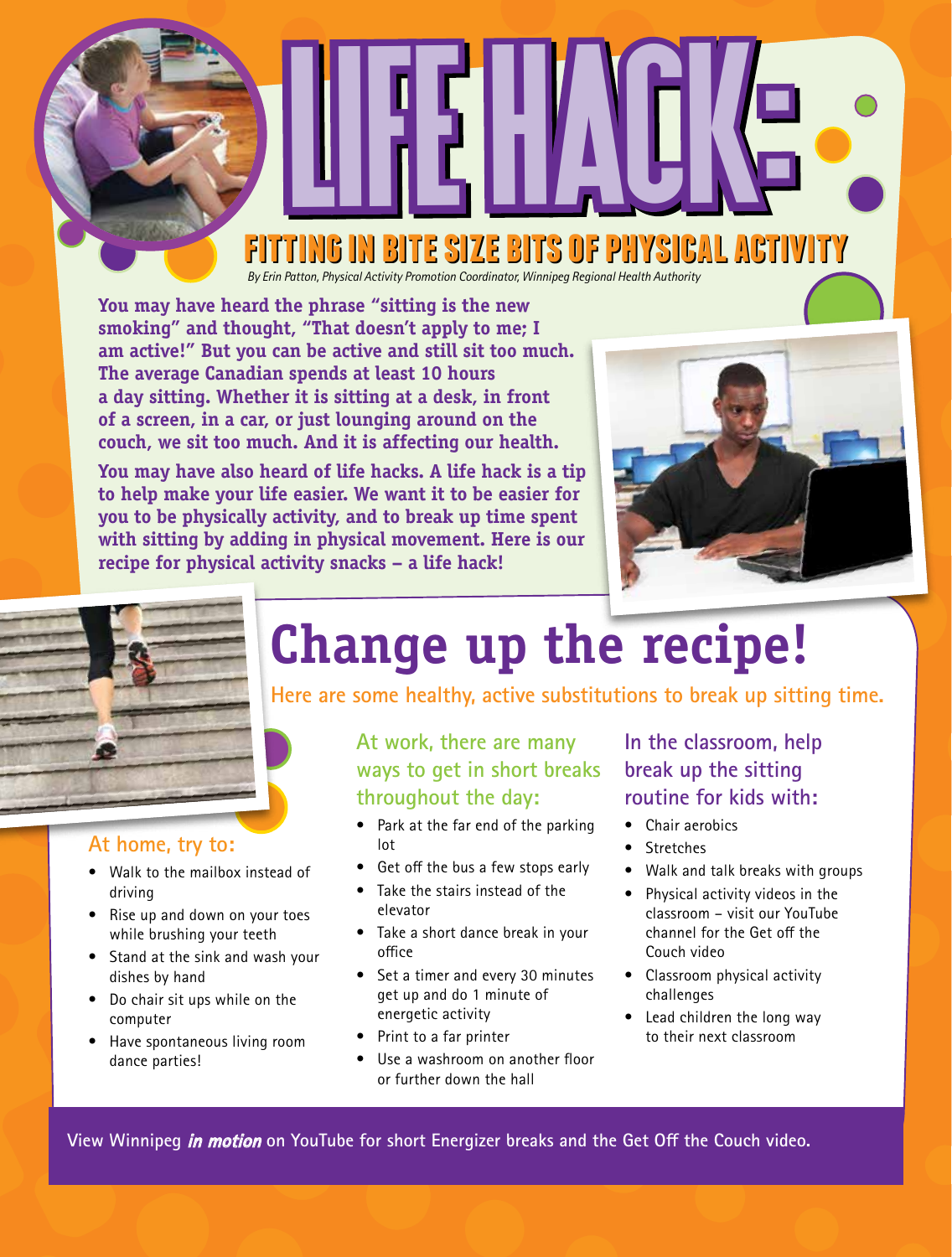### **fitting in bite size bits of physical activity fitting in bite size bits of physical activity**

Life Hacke Life Hack:

*By Erin Patton, Physical Activity Promotion Coordinator, Winnipeg Regional Health Authority*

**You may have heard the phrase "sitting is the new smoking" and thought, "That doesn't apply to me; I am active!" But you can be active and still sit too much. The average Canadian spends at least 10 hours a day sitting. Whether it is sitting at a desk, in front of a screen, in a car, or just lounging around on the couch, we sit too much. And it is affecting our health.** 

**You may have also heard of life hacks. A life hack is a tip to help make your life easier. We want it to be easier for you to be physically activity, and to break up time spent with sitting by adding in physical movement. Here is our recipe for physical activity snacks – a life hack!**





### **At home, try to:**

- Walk to the mailbox instead of driving
- Rise up and down on your toes while brushing your teeth
- Stand at the sink and wash your dishes by hand
- Do chair sit ups while on the computer
- Have spontaneous living room dance parties!

## **Change up the recipe!**

**Here are some healthy, active substitutions to break up sitting time.**

**At work, there are many ways to get in short breaks throughout the day:**

- Park at the far end of the parking lot
- Get off the bus a few stops early
- Take the stairs instead of the elevator
- Take a short dance break in your office
- Set a timer and every 30 minutes get up and do 1 minute of energetic activity
- Print to a far printer
- Use a washroom on another floor or further down the hall

#### **In the classroom, help break up the sitting routine for kids with:**

- Chair aerobics
- Stretches
- Walk and talk breaks with groups
- Physical activity videos in the classroom – visit our YouTube channel for the Get off the Couch video
- Classroom physical activity challenges
- Lead children the long way to their next classroom

**View Winnipeg in motion on YouTube for short Energizer breaks and the Get Off the Couch video.**